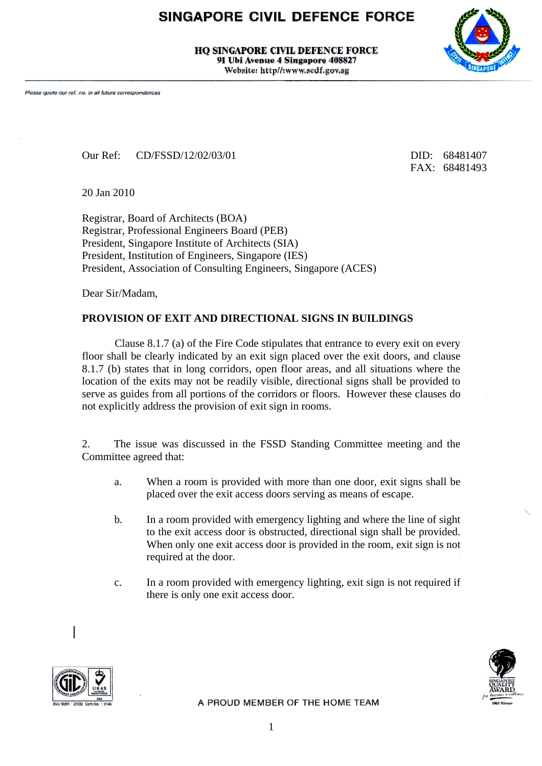## SINGAPORE CIVIL DEFENCE FORCE

**HO SINGAPORE CIVIL DEFENCE FORCE** 91 Ubi Avenue 4 Singapore 408827 Website: http//:www.scdf.gov.sg



Our Ref: CD/FSSD/12/02/03/01 DID: 68481407

FAX: 68481493

20 Jan 2010

Registrar, Board of Architects (BOA) Registrar, Professional Engineers Board (PEB) President, Singapore Institute of Architects (SIA) President, Institution of Engineers, Singapore (IES) President, Association of Consulting Engineers, Singapore (ACES)

Dear Sir/Madam,

## **PROVISION OF EXIT AND DIRECTIONAL SIGNS IN BUILDINGS**

Clause 8.1.7 (a) of the Fire Code stipulates that entrance to every exit on every floor shall be clearly indicated by an exit sign placed over the exit doors, and clause 8.1.7 (b) states that in long corridors, open floor areas, and all situations where the location of the exits may not be readily visible, directional signs shall be provided to serve as guides from all portions of the corridors or floors. However these clauses do not explicitly address the provision of exit sign in rooms.

2. The issue was discussed in the FSSD Standing Committee meeting and the Committee agreed that:

- a. When a room is provided with more than one door, exit signs shall be placed over the exit access doors serving as means of escape.
- b. In a room provided with emergency lighting and where the line of sight to the exit access door is obstructed, directional sign shall be provided. When only one exit access door is provided in the room, exit sign is not required at the door.
- c. In a room provided with emergency lighting, exit sign is not required if there is only one exit access door.





A PROUD MEMBER OF THE HOME TEAM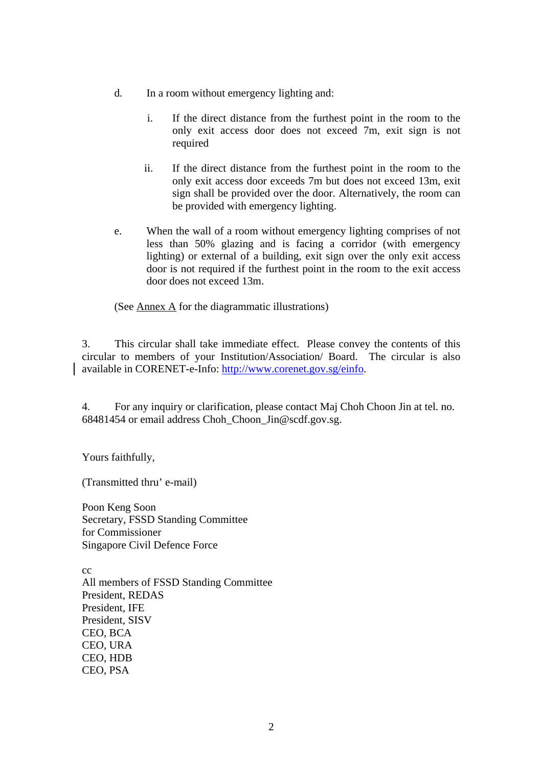- d. In a room without emergency lighting and:
	- i. If the direct distance from the furthest point in the room to the only exit access door does not exceed 7m, exit sign is not required
	- ii. If the direct distance from the furthest point in the room to the only exit access door exceeds 7m but does not exceed 13m, exit sign shall be provided over the door. Alternatively, the room can be provided with emergency lighting.
- e. When the wall of a room without emergency lighting comprises of not less than 50% glazing and is facing a corridor (with emergency lighting) or external of a building, exit sign over the only exit access door is not required if the furthest point in the room to the exit access door does not exceed 13m.

(See Annex A for the diagrammatic illustrations)

3. This circular shall take immediate effect. Please convey the contents of this circular to members of your Institution/Association/ Board. The circular is also available in CORENET-e-Info: <http://www.corenet.gov.sg/einfo>.

4. For any inquiry or clarification, please contact Maj Choh Choon Jin at tel. no. 68481454 or email address Choh\_Choon\_Jin@scdf.gov.sg.

Yours faithfully,

(Transmitted thru' e-mail)

Poon Keng Soon Secretary, FSSD Standing Committee for Commissioner Singapore Civil Defence Force

cc All members of FSSD Standing Committee President, REDAS President, IFE President, SISV CEO, BCA CEO, URA CEO, HDB CEO, PSA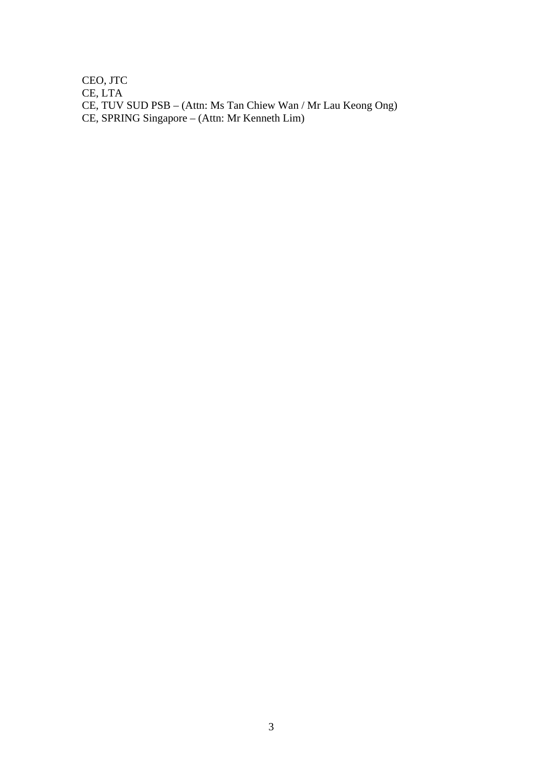CEO, JTC CE, LTA CE, TUV SUD PSB – (Attn: Ms Tan Chiew Wan / Mr Lau Keong Ong) CE, SPRING Singapore – (Attn: Mr Kenneth Lim)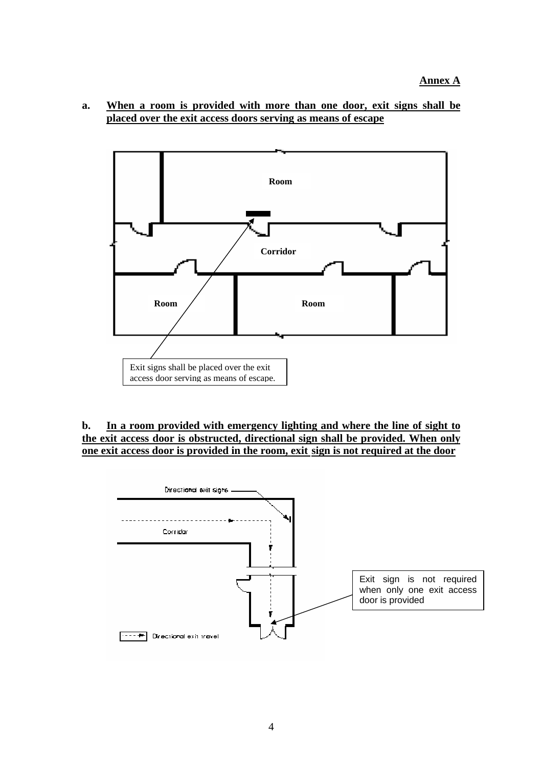**a. When a room is provided with more than one door, exit signs shall be placed over the exit access doors serving as means of escape**



## **b. In a room provided with emergency lighting and where the line of sight to the exit access door is obstructed, directional sign shall be provided. When only one exit access door is provided in the room, exit sign is not required at the door**

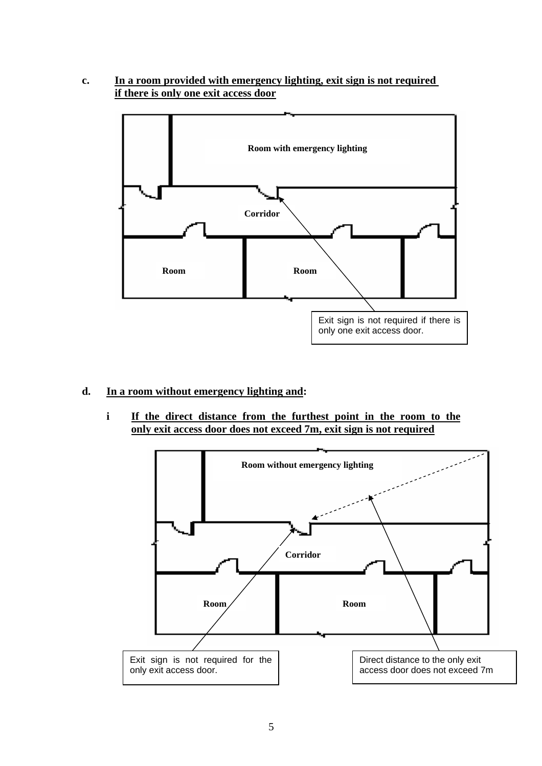**c. In a room provided with emergency lighting, exit sign is not required if there is only one exit access door**



## **d. In a room without emergency lighting and:**

**i If the direct distance from the furthest point in the room to the only exit access door does not exceed 7m, exit sign is not required**